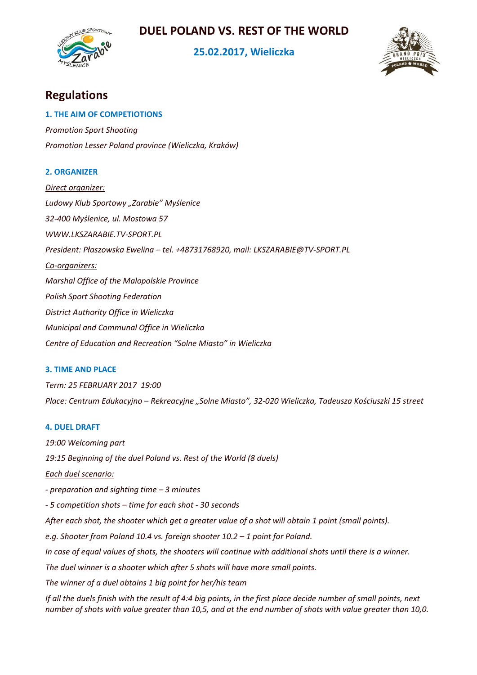# **DUEL POLAND VS. REST OF THE WORLD**



# **25.02.2017, Wieliczka**



# **Regulations**

### **1. THE AIM OF COMPETIOTIONS**

*Promotion Sport Shooting Promotion Lesser Poland province (Wieliczka, Kraków)*

# **2. ORGANIZER**

*Direct organizer: Ludowy Klub Sportowy "Zarabie" Myślenice 32-400 Myślenice, ul. Mostowa 57 WWW.LKSZARABIE.TV-SPORT.PL President: Płaszowska Ewelina – tel. +48731768920, mail: LKSZARABIE@TV-SPORT.PL Co-organizers: Marshal Office of the Malopolskie Province Polish Sport Shooting Federation District Authority Office in Wieliczka Municipal and Communal Office in Wieliczka Centre of Education and Recreation "Solne Miasto" in Wieliczka*

# **3. TIME AND PLACE**

*Term: 25 FEBRUARY 2017 19:00 Place: Centrum Edukacyjno – Rekreacyjne "Solne Miasto", 32-020 Wieliczka, Tadeusza Kościuszki 15 street*

# **4. DUEL DRAFT**

*19:00 Welcoming part 19:15 Beginning of the duel Poland vs. Rest of the World (8 duels)*

*Each duel scenario:*

*- preparation and sighting time – 3 minutes*

*- 5 competition shots – time for each shot - 30 seconds*

*After each shot, the shooter which get a greater value of a shot will obtain 1 point (small points).*

*e.g. Shooter from Poland 10.4 vs. foreign shooter 10.2 – 1 point for Poland.*

*In case of equal values of shots, the shooters will continue with additional shots until there is a winner.*

*The duel winner is a shooter which after 5 shots will have more small points.* 

*The winner of a duel obtains 1 big point for her/his team*

*If all the duels finish with the result of 4:4 big points, in the first place decide number of small points, next number of shots with value greater than 10,5, and at the end number of shots with value greater than 10,0.*